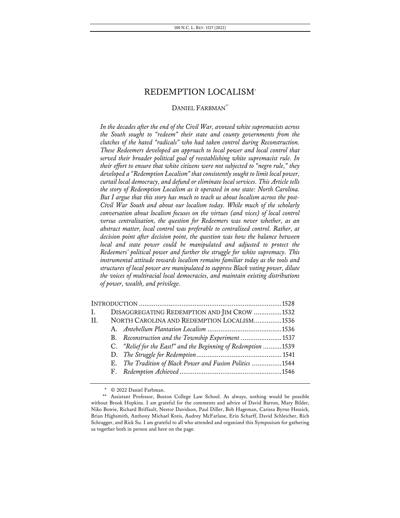## DANIEL FARBMAN<sup>\*\*</sup>

*In the decades after the end of the Civil War, avowed white supremacists across the South sought to "redeem" their state and county governments from the clutches of the hated "radicals" who had taken control during Reconstruction. These Redeemers developed an approach to local power and local control that served their broader political goal of reestablishing white supremacist rule. In their effort to ensure that white citizens were not subjected to "negro rule," they developed a "Redemption Localism" that consistently sought to limit local power, curtail local democracy, and defund or eliminate local services. This Article tells the story of Redemption Localism as it operated in one state: North Carolina. But I argue that this story has much to teach us about localism across the post-Civil War South and about our localism today. While much of the scholarly conversation about localism focuses on the virtues (and vices) of local control versus centralization, the question for Redeemers was never whether, as an abstract matter, local control was preferable to centralized control. Rather, at decision point after decision point, the question was how the balance between local and state power could be manipulated and adjusted to protect the Redeemers' political power and further the struggle for white supremacy. This instrumental attitude towards localism remains familiar today as the tools and structures of local power are manipulated to suppress Black voting power, dilute the voices of multiracial local democracies, and maintain existing distributions of power, wealth, and privilege.*

| $\mathbf{I}$ . |  | DISAGGREGATING REDEMPTION AND JIM CROW 1532                    |  |  |
|----------------|--|----------------------------------------------------------------|--|--|
| II.            |  | NORTH CAROLINA AND REDEMPTION LOCALISM1536                     |  |  |
|                |  |                                                                |  |  |
|                |  | B. Reconstruction and the Township Experiment 1537             |  |  |
|                |  | C. "Relief for the East!" and the Beginning of Redemption 1539 |  |  |
|                |  |                                                                |  |  |
|                |  | E. The Tradition of Black Power and Fusion Politics 1544       |  |  |
|                |  |                                                                |  |  |
|                |  |                                                                |  |  |

<sup>\*</sup> © 2022 Daniel Farbman.

<sup>\*\*</sup> Assistant Professor, Boston College Law School. As always, nothing would be possible without Brook Hopkins. I am grateful for the comments and advice of David Barron, Mary Bilder, Niko Bowie, Richard Briffault, Nestor Davidson, Paul Diller, Bob Hageman, Carissa Byrne Hessick, Brian Highsmith, Anthony Michael Kreis, Audrey McFarlane, Erin Scharff, David Schleicher, Rich Schragger, and Rick Su. I am grateful to all who attended and organized this Symposium for gathering us together both in person and here on the page.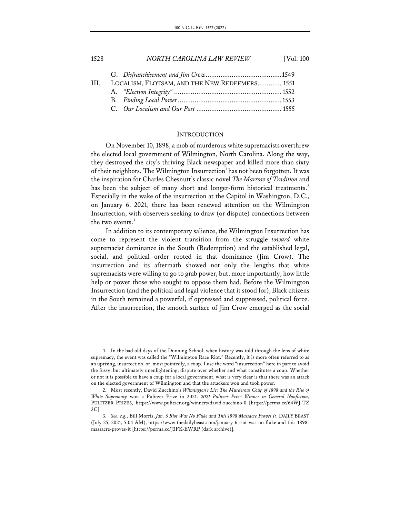| HI. | LOCALISM, FLOTSAM, AND THE NEW REDEEMERS 1551 |  |
|-----|-----------------------------------------------|--|
|     |                                               |  |
|     |                                               |  |
|     |                                               |  |

#### **INTRODUCTION**

On November 10, 1898, a mob of murderous white supremacists overthrew the elected local government of Wilmington, North Carolina. Along the way, they destroyed the city's thriving Black newspaper and killed more than sixty of their neighbors. The Wilmington Insurrection<sup>1</sup> has not been forgotten. It was the inspiration for Charles Chesnutt's classic novel *The Marrow of Tradition* and has been the subject of many short and longer-form historical treatments.<sup>2</sup> Especially in the wake of the insurrection at the Capitol in Washington, D.C., on January 6, 2021, there has been renewed attention on the Wilmington Insurrection, with observers seeking to draw (or dispute) connections between the two events.<sup>3</sup>

In addition to its contemporary salience, the Wilmington Insurrection has come to represent the violent transition from the struggle *toward* white supremacist dominance in the South (Redemption) and the established legal, social, and political order rooted in that dominance (Jim Crow). The insurrection and its aftermath showed not only the lengths that white supremacists were willing to go to grab power, but, more importantly, how little help or power those who sought to oppose them had. Before the Wilmington Insurrection (and the political and legal violence that it stood for), Black citizens in the South remained a powerful, if oppressed and suppressed, political force. After the insurrection, the smooth surface of Jim Crow emerged as the social

<sup>1.</sup> In the bad old days of the Dunning School, when history was told through the lens of white supremacy, the event was called the "Wilmington Race Riot." Recently, it is more often referred to as an uprising, insurrection, or, most pointedly, a coup. I use the word "insurrection" here in part to avoid the fussy, but ultimately unenlightening, dispute over whether and what constitutes a coup. Whether or not it is possible to have a coup for a local government, what is very clear is that there was an attack on the elected government of Wilmington and that the attackers won and took power.

<sup>2.</sup> Most recently, David Zucchino's *Wilmington's Lie: The Murderous Coup of 1898 and the Rise of White Supremacy* won a Pulitzer Prize in 2021. *2021 Pulitzer Prize Winner in General Nonfiction*, PULITZER PRIZES, https://www.pulitzer.org/winners/david-zucchino-0 [https://perma.cc/64WJ-TZ 3C].

<sup>3.</sup> *See, e.g.*, Bill Morris, *Jan. 6 Riot Was No Fluke and This 1898 Massacre Proves It*, DAILY BEAST (July 25, 2021, 5:04 AM), https://www.thedailybeast.com/january-6-riot-was-no-fluke-and-this-1898 massacre-proves-it [https://perma.cc/J3FK-EWRP (dark archive)].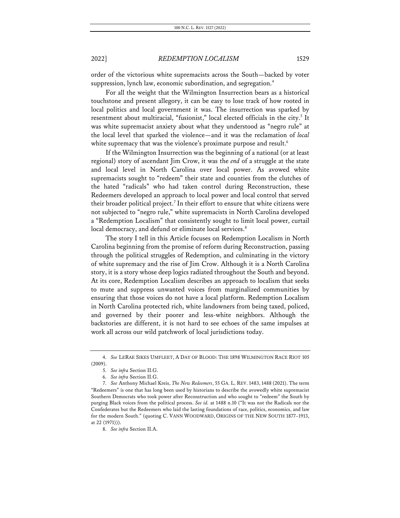order of the victorious white supremacists across the South—backed by voter suppression, lynch law, economic subordination, and segregation.<sup>4</sup>

For all the weight that the Wilmington Insurrection bears as a historical touchstone and present allegory, it can be easy to lose track of how rooted in local politics and local government it was. The insurrection was sparked by resentment about multiracial, "fusionist," local elected officials in the city.<sup>5</sup> It was white supremacist anxiety about what they understood as "negro rule" at the local level that sparked the violence—and it was the reclamation of *local* white supremacy that was the violence's proximate purpose and result.<sup>6</sup>

If the Wilmington Insurrection was the beginning of a national (or at least regional) story of ascendant Jim Crow, it was the *end* of a struggle at the state and local level in North Carolina over local power. As avowed white supremacists sought to "redeem" their state and counties from the clutches of the hated "radicals" who had taken control during Reconstruction, these Redeemers developed an approach to local power and local control that served their broader political project.<sup>7</sup> In their effort to ensure that white citizens were not subjected to "negro rule," white supremacists in North Carolina developed a "Redemption Localism" that consistently sought to limit local power, curtail local democracy, and defund or eliminate local services.<sup>8</sup>

The story I tell in this Article focuses on Redemption Localism in North Carolina beginning from the promise of reform during Reconstruction, passing through the political struggles of Redemption, and culminating in the victory of white supremacy and the rise of Jim Crow. Although it is a North Carolina story, it is a story whose deep logics radiated throughout the South and beyond. At its core, Redemption Localism describes an approach to localism that seeks to mute and suppress unwanted voices from marginalized communities by ensuring that those voices do not have a local platform. Redemption Localism in North Carolina protected rich, white landowners from being taxed, policed, and governed by their poorer and less-white neighbors. Although the backstories are different, it is not hard to see echoes of the same impulses at work all across our wild patchwork of local jurisdictions today.

<sup>4.</sup> *See* LERAE SIKES UMFLEET, A DAY OF BLOOD: THE 1898 WILMINGTON RACE RIOT 105 (2009).

<sup>5.</sup> *See infra* Section II.G.

<sup>6.</sup> *See infra* Section II.G.

<sup>7.</sup> *See* Anthony Michael Kreis, *The New Redeemers*, 55 GA. L. REV. 1483, 1488 (2021). The term "Redeemers" is one that has long been used by historians to describe the avowedly white supremacist Southern Democrats who took power after Reconstruction and who sought to "redeem" the South by purging Black voices from the political process. *See id.* at 1488 n.10 ("It was not the Radicals nor the Confederates but the Redeemers who laid the lasting foundations of race, politics, economics, and law for the modern South." (quoting C. VANN WOODWARD, ORIGINS OF THE NEW SOUTH 1877–1913, at 22 (1971))).

<sup>8.</sup> *See infra* Section II.A.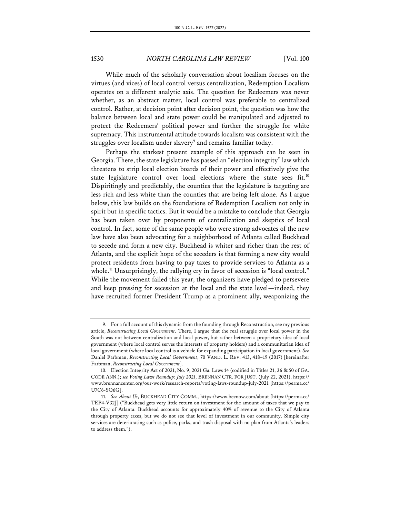While much of the scholarly conversation about localism focuses on the virtues (and vices) of local control versus centralization, Redemption Localism operates on a different analytic axis. The question for Redeemers was never whether, as an abstract matter, local control was preferable to centralized control. Rather, at decision point after decision point, the question was how the balance between local and state power could be manipulated and adjusted to protect the Redeemers' political power and further the struggle for white supremacy. This instrumental attitude towards localism was consistent with the struggles over localism under slavery<sup>9</sup> and remains familiar today.

Perhaps the starkest present example of this approach can be seen in Georgia. There, the state legislature has passed an "election integrity" law which threatens to strip local election boards of their power and effectively give the state legislature control over local elections where the state sees fit.<sup>10</sup> Dispiritingly and predictably, the counties that the legislature is targeting are less rich and less white than the counties that are being left alone. As I argue below, this law builds on the foundations of Redemption Localism not only in spirit but in specific tactics. But it would be a mistake to conclude that Georgia has been taken over by proponents of centralization and skeptics of local control. In fact, some of the same people who were strong advocates of the new law have also been advocating for a neighborhood of Atlanta called Buckhead to secede and form a new city. Buckhead is whiter and richer than the rest of Atlanta, and the explicit hope of the seceders is that forming a new city would protect residents from having to pay taxes to provide services to Atlanta as a whole.<sup>11</sup> Unsurprisingly, the rallying cry in favor of secession is "local control." While the movement failed this year, the organizers have pledged to persevere and keep pressing for secession at the local and the state level—indeed, they have recruited former President Trump as a prominent ally, weaponizing the

<sup>9.</sup> For a full account of this dynamic from the founding through Reconstruction, see my previous article, *Reconstructing Local Government*. There, I argue that the real struggle over local power in the South was not between centralization and local power, but rather between a proprietary idea of local government (where local control serves the interests of property holders) and a communitarian idea of local government (where local control is a vehicle for expanding participation in local government). *See* Daniel Farbman, *Reconstructing Local Government*, 70 VAND. L. REV. 413, 418–19 (2017) [hereinafter Farbman, *Reconstructing Local Government*].

<sup>10.</sup> Election Integrity Act of 2021, No. 9, 2021 Ga. Laws 14 (codified in Titles 21, 36 & 50 of GA. CODE ANN.); *see Voting Laws Roundup: July 2021*, BRENNAN CTR. FOR JUST. (July 22, 2021), https:// www.brennancenter.org/our-work/research-reports/voting-laws-roundup-july-2021 [https://perma.cc/ U7C6-SQ6G].

<sup>11.</sup> *See About Us*, BUCKHEAD CITY COMM., https://www.becnow.com/about [https://perma.cc/ TEP4-V32J] ("Buckhead gets very little return on investment for the amount of taxes that we pay to the City of Atlanta. Buckhead accounts for approximately 40% of revenue to the City of Atlanta through property taxes, but we do not see that level of investment in our community. Simple city services are deteriorating such as police, parks, and trash disposal with no plan from Atlanta's leaders to address them.").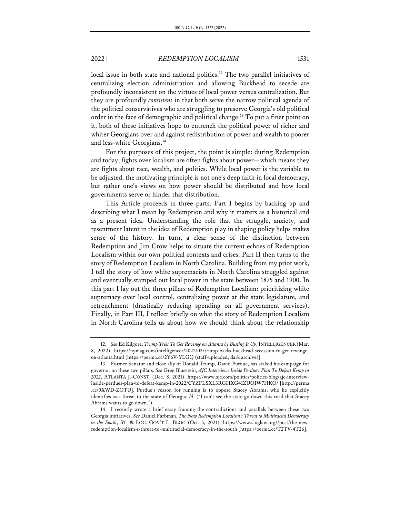local issue in both state and national politics.<sup>12</sup> The two parallel initiatives of centralizing election administration and allowing Buckhead to secede are profoundly inconsistent on the virtues of local power versus centralization. But they are profoundly *consistent* in that both serve the narrow political agenda of the political conservatives who are struggling to preserve Georgia's old political order in the face of demographic and political change. <sup>13</sup> To put a finer point on it, both of these initiatives hope to entrench the political power of richer and whiter Georgians over and against redistribution of power and wealth to poorer and less-white Georgians.<sup>14</sup>

For the purposes of this project, the point is simple: during Redemption and today, fights over localism are often fights about power—which means they are fights about race, wealth, and politics. While local power is the variable to be adjusted, the motivating principle is not one's deep faith in local democracy, but rather one's views on how power should be distributed and how local governments serve or hinder that distribution.

This Article proceeds in three parts. Part I begins by backing up and describing what I mean by Redemption and why it matters as a historical and as a present idea. Understanding the role that the struggle, anxiety, and resentment latent in the idea of Redemption play in shaping policy helps makes sense of the history. In turn, a clear sense of the distinction between Redemption and Jim Crow helps to situate the current echoes of Redemption Localism within our own political contexts and crises. Part II then turns to the story of Redemption Localism in North Carolina. Building from my prior work, I tell the story of how white supremacists in North Carolina struggled against and eventually stamped out local power in the state between 1875 and 1900. In this part I lay out the three pillars of Redemption Localism: prioritizing white supremacy over local control, centralizing power at the state legislature, and retrenchment (drastically reducing spending on all government services). Finally, in Part III, I reflect briefly on what the story of Redemption Localism in North Carolina tells us about how we should think about the relationship

<sup>12.</sup> *See* Ed Kilgore, *Trump Tries To Get Revenge on Atlanta by Busting It Up*, INTELLIGENCER (Mar. 8, 2022), https://nymag.com/intelligencer/2022/03/trump-backs-buckhead-secession-to-get-revengeon-atlanta.html [https://perma.cc/2Y6V-YLGQ (staff-uploaded, dark archive)].

<sup>13.</sup> Former Senator and close ally of Donald Trump, David Purdue, has staked his campaign for governor on these two pillars. *See* Greg Bluestein, *AJC Interview: Inside Perdue's Plan To Defeat Kemp in 2022*, ATLANTA J.-CONST. (Dec. 8, 2021), https://www.ajc.com/politics/politics-blog/ajc-interviewinside-perdues-plan-to-defeat-kemp-in-2022/CYZFLSXL3RGHXG4IZUQIW7HKO/ [http://perma .cc/9XWD-ZQTU]. Purdue's reason for running is to oppose Stacey Abrams, who he explicitly identifies as a threat to the state of Georgia. *Id.* ("I can't see the state go down this road that Stacey Abrams wants to go down.").

<sup>14.</sup> I recently wrote a brief essay framing the contradictions and parallels between these two Georgia initiatives. *See* Daniel Farbman, *The New Redemption Localism's Threat to Multiracial Democracy in the South*, ST. & LOC. GOV'T L. BLOG (Oct. 5, 2021), https://www.sloglaw.org//post/the-newredemption-localism-s-threat-to-multiracial-democracy-in-the-south [https://perma.cc/T2TV-4T26].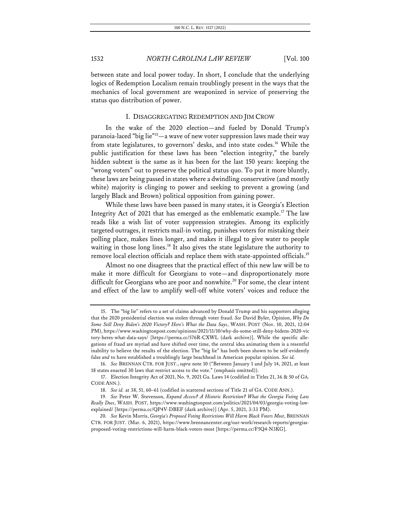between state and local power today. In short, I conclude that the underlying logics of Redemption Localism remain troublingly present in the ways that the mechanics of local government are weaponized in service of preserving the status quo distribution of power.

#### I. DISAGGREGATING REDEMPTION AND JIM CROW

In the wake of the 2020 election—and fueled by Donald Trump's paranoia-laced "big lie"<sup>15</sup>—a wave of new voter suppression laws made their way from state legislatures, to governors' desks, and into state codes.<sup>16</sup> While the public justification for these laws has been "election integrity," the barely hidden subtext is the same as it has been for the last 150 years: keeping the "wrong voters" out to preserve the political status quo. To put it more bluntly, these laws are being passed in states where a dwindling conservative (and mostly white) majority is clinging to power and seeking to prevent a growing (and largely Black and Brown) political opposition from gaining power.

While these laws have been passed in many states, it is Georgia's Election Integrity Act of 2021 that has emerged as the emblematic example.17 The law reads like a wish list of voter suppression strategies. Among its explicitly targeted outrages, it restricts mail-in voting, punishes voters for mistaking their polling place, makes lines longer, and makes it illegal to give water to people waiting in those long lines.<sup>18</sup> It also gives the state legislature the authority to remove local election officials and replace them with state-appointed officials.<sup>19</sup>

Almost no one disagrees that the practical effect of this new law will be to make it more difficult for Georgians to vote—and disproportionately more difficult for Georgians who are poor and nonwhite.<sup>20</sup> For some, the clear intent and effect of the law to amplify well-off white voters' voices and reduce the

<sup>15.</sup> The "big lie" refers to a set of claims advanced by Donald Trump and his supporters alleging that the 2020 presidential election was stolen through voter fraud. *See* David Byler, Opinion, *Why Do Some Still Deny Biden's 2020 Victory? Here's What the Data Says*, WASH. POST (Nov. 10, 2021, 12:04 PM), https://www.washingtonpost.com/opinions/2021/11/10/why-do-some-still-deny-bidens-2020-vic tory-heres-what-data-says/ [https://perma.cc/576R-CXWL (dark archive)]. While the specific allegations of fraud are myriad and have shifted over time, the central idea animating them is a resentful inability to believe the results of the election. The "big lie" has both been shown to be self-evidently false *and* to have established a troublingly large beachhead in American popular opinion. *See id.*

<sup>16.</sup> *See* BRENNAN CTR. FOR JUST., *supra* note 10 ("Between January 1 and July 14, 2021, at least 18 states enacted 30 laws that restrict access to the vote." (emphasis omitted)).

<sup>17.</sup> Election Integrity Act of 2021, No. 9, 2021 Ga. Laws 14 (codified in Titles 21, 36 & 50 of GA. CODE ANN.).

<sup>18.</sup> *See id.* at 38, 51, 60–61 (codified in scattered sections of Title 21 of GA. CODE ANN.).

<sup>19.</sup> *See* Peter W. Stevenson, *Expand Access? A Historic Restriction? What the Georgia Voting Law Really Does*, WASH. POST, https://www.washingtonpost.com/politics/2021/04/03/georgia-voting-lawexplained/ [https://perma.cc/QP4V-DBEF (dark archive)] (Apr. 5, 2021, 3:33 PM).

<sup>20.</sup> *See* Kevin Morris, *Georgia's Proposed Voting Restrictions Will Harm Black Voters Most*, BRENNAN CTR. FOR JUST. (Mar. 6, 2021), https://www.brennancenter.org/our-work/research-reports/georgiasproposed-voting-restrictions-will-harm-black-voters-most [https://perma.cc/F5Q4-N3KG].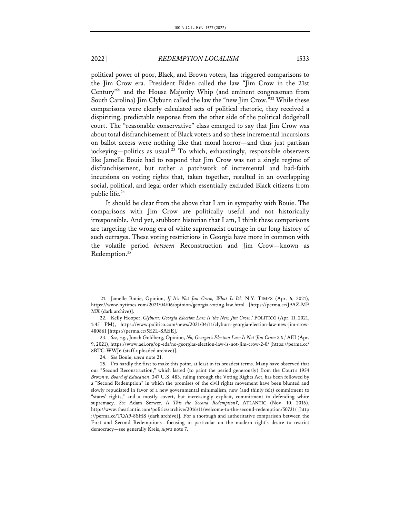political power of poor, Black, and Brown voters, has triggered comparisons to the Jim Crow era. President Biden called the law "Jim Crow in the 21st Century"21 and the House Majority Whip (and eminent congressman from South Carolina) Jim Clyburn called the law the "new Jim Crow."22 While these comparisons were clearly calculated acts of political rhetoric, they received a dispiriting, predictable response from the other side of the political dodgeball court. The "reasonable conservative" class emerged to say that Jim Crow was about total disfranchisement of Black voters and so these incremental incursions on ballot access were nothing like that moral horror—and thus just partisan jockeying—politics as usual.<sup>23</sup> To which, exhaustingly, responsible observers like Jamelle Bouie had to respond that Jim Crow was not a single regime of disfranchisement, but rather a patchwork of incremental and bad-faith incursions on voting rights that, taken together, resulted in an overlapping social, political, and legal order which essentially excluded Black citizens from public life.24

It should be clear from the above that I am in sympathy with Bouie. The comparisons with Jim Crow are politically useful and not historically irresponsible. And yet, stubborn historian that I am, I think these comparisons are targeting the wrong era of white supremacist outrage in our long history of such outrages. These voting restrictions in Georgia have more in common with the volatile period *between* Reconstruction and Jim Crow—known as Redemption.<sup>25</sup>

<sup>21.</sup> Jamelle Bouie, Opinion, *If It's Not Jim Crow, What Is It?*, N.Y. TIMES (Apr. 6, 2021), https://www.nytimes.com/2021/04/06/opinion/georgia-voting-law.html [https://perma.cc/J9AZ-MP MX (dark archive)].

<sup>22.</sup> Kelly Hooper, *Clyburn: Georgia Election Law Is 'the New Jim Crow*,*'* POLITICO (Apr. 11, 2021, 1:45 PM), https://www.politico.com/news/2021/04/11/clyburn-georgia-election-law-new-jim-crow-480861 [https://perma.cc/5E2L-SAEE].

<sup>23.</sup> *See, e.g.*, Jonah Goldberg, Opinion, *No, Georgia's Election Law Is Not 'Jim Crow 2.0*,*'* AEI (Apr. 9, 2021), https://www.aei.org/op-eds/no-georgias-election-law-is-not-jim-crow-2-0/ [https://perma.cc/ 8BTC-WWJ6 (staff-uploaded archive)].

<sup>24.</sup> *See* Bouie, *supra* note 21.

<sup>25.</sup> I'm hardly the first to make this point, at least in its broadest terms. Many have observed that our "Second Reconstruction," which lasted (to paint the period generously) from the Court's 1954 *Brown v. Board of Education*, 347 U.S. 483, ruling through the Voting Rights Act, has been followed by a "Second Redemption" in which the promises of the civil rights movement have been blunted and slowly repudiated in favor of a new governmental minimalism, new (and thinly felt) commitment to "states' rights," and a mostly covert, but increasingly explicit, commitment to defending white supremacy. *See* Adam Serwer, *Is This the Second Redemption?*, ATLANTIC (Nov. 10, 2016), http://www.theatlantic.com/politics/archive/2016/11/welcome-to-the-second-redemption/50731/ [http ://perma.cc/TQA9-8SHS (dark archive)]. For a thorough and authoritative comparison between the First and Second Redemptions—focusing in particular on the modern right's desire to restrict democracy—see generally Kreis, *supra* note 7.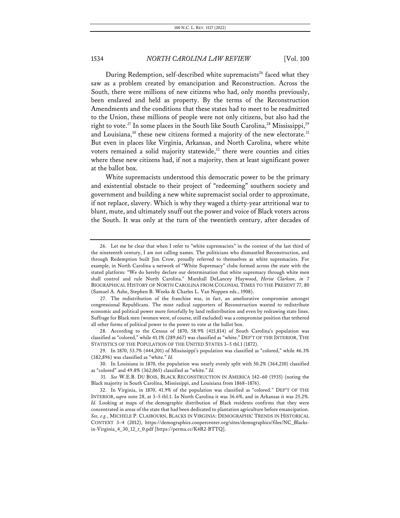During Redemption, self-described white supremacists<sup>26</sup> faced what they saw as a problem created by emancipation and Reconstruction. Across the South, there were millions of new citizens who had, only months previously, been enslaved and held as property. By the terms of the Reconstruction Amendments and the conditions that these states had to meet to be readmitted to the Union, these millions of people were not only citizens, but also had the right to vote.<sup>27</sup> In some places in the South like South Carolina,<sup>28</sup> Mississippi,<sup>29</sup> and Louisiana, $30$  these new citizens formed a majority of the new electorate. $31$ But even in places like Virginia, Arkansas, and North Carolina, where white voters remained a solid majority statewide, $32$  there were counties and cities where these new citizens had, if not a majority, then at least significant power at the ballot box.

White supremacists understood this democratic power to be the primary and existential obstacle to their project of "redeeming" southern society and government and building a new white supremacist social order to approximate, if not replace, slavery. Which is why they waged a thirty-year attritional war to blunt, mute, and ultimately snuff out the power and voice of Black voters across the South. It was only at the turn of the twentieth century, after decades of

28. According to the Census of 1870, 58.9% (415,814) of South Carolina's population was classified as "colored," while 41.1% (289,667) was classified as "white." DEP'T OF THE INTERIOR, THE STATISTICS OF THE POPULATION OF THE UNITED STATES 3–5 tbl.1 (1872).

<sup>26.</sup> Let me be clear that when I refer to "white supremacists" in the context of the last third of the nineteenth century, I am not calling names. The politicians who dismantled Reconstruction, and through Redemption built Jim Crow, proudly referred to themselves as white supremacists. For example, in North Carolina a network of "White Supremacy" clubs formed across the state with the stated platform: "We do hereby declare our determination that white supremacy through white men shall control and rule North Carolina." Marshall DeLancey Haywood, *Heriot Clarkson*, *in* 7 BIOGRAPHICAL HISTORY OF NORTH CAROLINA FROM COLONIAL TIMES TO THE PRESENT 77, 80 (Samuel A. Ashe, Stephen B. Weeks & Charles L. Van Noppen eds., 1908).

<sup>27.</sup> The redistribution of the franchise was, in fact, an ameliorative compromise amongst congressional Republicans. The most radical supporters of Reconstruction wanted to redistribute economic and political power more forcefully by land redistribution and even by redrawing state lines. Suffrage for Black men (women were, of course, still excluded) was a compromise position that tethered all other forms of political power to the power to vote at the ballot box.

<sup>29.</sup> In 1870, 53.7% (444,201) of Mississippi's population was classified as "colored," while 46.3% (382,896) was classified as "white." *Id.*

<sup>30.</sup> In Louisiana in 1870, the population was nearly evenly split with 50.2% (364,210) classified as "colored" and 49.8% (362,065) classified as "white." *Id.*

<sup>31.</sup> *See* W.E.B. DU BOIS, BLACK RECONSTRUCTION IN AMERICA 142–60 (1935) (noting the Black majority in South Carolina, Mississippi, and Louisiana from 1868–1876).

<sup>32.</sup> In Virginia, in 1870, 41.9% of the population was classified as "colored." DEP'T OF THE INTERIOR, *supra* note 28, at 3–5 tbl.1. In North Carolina it was 36.6%, and in Arkansas it was 25.2%. *Id.* Looking at maps of the demographic distribution of Black residents confirms that they were concentrated in areas of the state that had been dedicated to plantation agriculture before emancipation. *See, e.g.*, MICHELE P. CLAIBOURN, BLACKS IN VIRGINIA: DEMOGRAPHIC TRENDS IN HISTORICAL CONTEXT 3–4 (2012), https://demographics.coopercenter.org/sites/demographics/files/NC\_Blacksin-Virginia\_4\_30\_12\_r\_0.pdf [https://perma.cc/K4R2-BTTQ].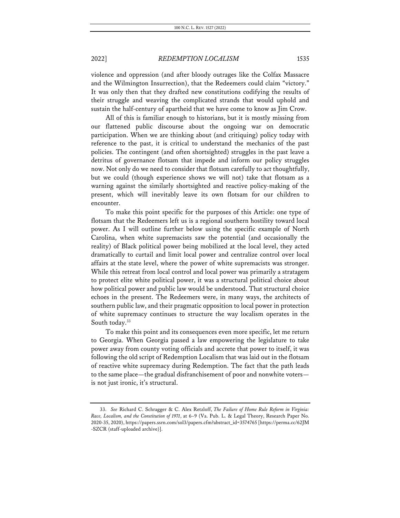violence and oppression (and after bloody outrages like the Colfax Massacre and the Wilmington Insurrection), that the Redeemers could claim "victory." It was only then that they drafted new constitutions codifying the results of their struggle and weaving the complicated strands that would uphold and sustain the half-century of apartheid that we have come to know as Jim Crow.

All of this is familiar enough to historians, but it is mostly missing from our flattened public discourse about the ongoing war on democratic participation. When we are thinking about (and critiquing) policy today with reference to the past, it is critical to understand the mechanics of the past policies. The contingent (and often shortsighted) struggles in the past leave a detritus of governance flotsam that impede and inform our policy struggles now. Not only do we need to consider that flotsam carefully to act thoughtfully, but we could (though experience shows we will not) take that flotsam as a warning against the similarly shortsighted and reactive policy-making of the present, which will inevitably leave its own flotsam for our children to encounter.

To make this point specific for the purposes of this Article: one type of flotsam that the Redeemers left us is a regional southern hostility toward local power. As I will outline further below using the specific example of North Carolina, when white supremacists saw the potential (and occasionally the reality) of Black political power being mobilized at the local level, they acted dramatically to curtail and limit local power and centralize control over local affairs at the state level, where the power of white supremacists was stronger. While this retreat from local control and local power was primarily a stratagem to protect elite white political power, it was a structural political choice about how political power and public law would be understood. That structural choice echoes in the present. The Redeemers were, in many ways, the architects of southern public law, and their pragmatic opposition to local power in protection of white supremacy continues to structure the way localism operates in the South today.<sup>33</sup>

To make this point and its consequences even more specific, let me return to Georgia. When Georgia passed a law empowering the legislature to take power away from county voting officials and accrete that power to itself, it was following the old script of Redemption Localism that was laid out in the flotsam of reactive white supremacy during Redemption. The fact that the path leads to the same place—the gradual disfranchisement of poor and nonwhite voters is not just ironic, it's structural.

<sup>33.</sup> *See* Richard C. Schragger & C. Alex Retzloff, *The Failure of Home Rule Reform in Virginia: Race, Localism, and the Constitution of 1971*, at 6–9 (Va. Pub. L. & Legal Theory, Research Paper No. 2020-35, 2020), https://papers.ssrn.com/sol3/papers.cfm?abstract\_id=3574765 [https://perma.cc/62JM -SZCR (staff-uploaded archive)].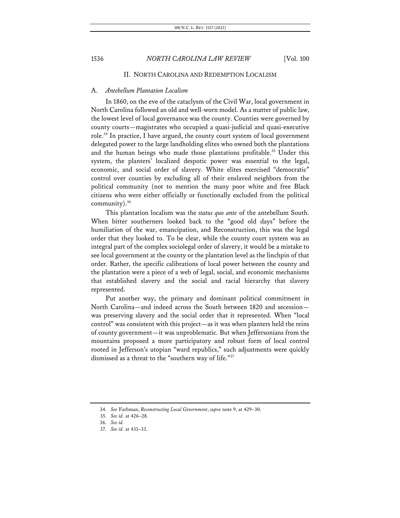## II. NORTH CAROLINA AND REDEMPTION LOCALISM

### A. *Antebellum Plantation Localism*

In 1860, on the eve of the cataclysm of the Civil War, local government in North Carolina followed an old and well-worn model. As a matter of public law, the lowest level of local governance was the county. Counties were governed by county courts—magistrates who occupied a quasi-judicial and quasi-executive role.<sup>34</sup> In practice, I have argued, the county court system of local government delegated power to the large landholding elites who owned both the plantations and the human beings who made those plantations profitable.<sup>35</sup> Under this system, the planters' localized despotic power was essential to the legal, economic, and social order of slavery. White elites exercised "democratic" control over counties by excluding all of their enslaved neighbors from the political community (not to mention the many poor white and free Black citizens who were either officially or functionally excluded from the political community). $36$ 

This plantation localism was the *status quo ante* of the antebellum South. When bitter southerners looked back to the "good old days" before the humiliation of the war, emancipation, and Reconstruction, this was the legal order that they looked to. To be clear, while the county court system was an integral part of the complex sociolegal order of slavery, it would be a mistake to see local government at the county or the plantation level as the linchpin of that order. Rather, the specific calibrations of local power between the county and the plantation were a piece of a web of legal, social, and economic mechanisms that established slavery and the social and racial hierarchy that slavery represented.

Put another way, the primary and dominant political commitment in North Carolina—and indeed across the South between 1820 and secession was preserving slavery and the social order that it represented. When "local control" was consistent with this project—as it was when planters held the reins of county government—it was unproblematic. But when Jeffersonians from the mountains proposed a more participatory and robust form of local control rooted in Jefferson's utopian "ward republics," such adjustments were quickly dismissed as a threat to the "southern way of life."37

<sup>34.</sup> *See* Farbman, *Reconstructing Local Government*, *supra* note 9, at 429–30.

<sup>35.</sup> *See id.* at 426–28.

<sup>36.</sup> *See id.*

<sup>37.</sup> *See id.* at 431–33.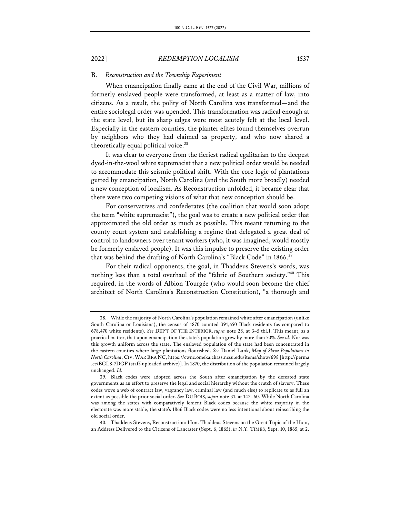## B. *Reconstruction and the Township Experiment*

When emancipation finally came at the end of the Civil War, millions of formerly enslaved people were transformed, at least as a matter of law, into citizens. As a result, the polity of North Carolina was transformed—and the entire sociolegal order was upended. This transformation was radical enough at the state level, but its sharp edges were most acutely felt at the local level. Especially in the eastern counties, the planter elites found themselves overrun by neighbors who they had claimed as property, and who now shared a theoretically equal political voice.<sup>38</sup>

It was clear to everyone from the fieriest radical egalitarian to the deepest dyed-in-the-wool white supremacist that a new political order would be needed to accommodate this seismic political shift. With the core logic of plantations gutted by emancipation, North Carolina (and the South more broadly) needed a new conception of localism. As Reconstruction unfolded, it became clear that there were two competing visions of what that new conception should be.

For conservatives and confederates (the coalition that would soon adopt the term "white supremacist"), the goal was to create a new political order that approximated the old order as much as possible. This meant returning to the county court system and establishing a regime that delegated a great deal of control to landowners over tenant workers (who, it was imagined, would mostly be formerly enslaved people). It was this impulse to preserve the existing order that was behind the drafting of North Carolina's "Black Code" in 1866.<sup>39</sup>

For their radical opponents, the goal, in Thaddeus Stevens's words, was nothing less than a total overhaul of the "fabric of Southern society."40 This required, in the words of Albion Tourgée (who would soon become the chief architect of North Carolina's Reconstruction Constitution), "a thorough and

<sup>38.</sup> While the majority of North Carolina's population remained white after emancipation (unlike South Carolina or Louisiana), the census of 1870 counted 391,650 Black residents (as compared to 678,470 white residents). *See* DEP'T OF THE INTERIOR, *supra* note 28, at 3–5 tbl.1. This meant, as a practical matter, that upon emancipation the state's population grew by more than 50%. *See id.* Nor was this growth uniform across the state. The enslaved population of the state had been concentrated in the eastern counties where large plantations flourished. *See* Daniel Lunk, *Map of Slave Populations in North Carolina*, CIV. WAR ERA NC, https://cwnc.omeka.chass.ncsu.edu/items/show/698 [http://perma .cc/BGL8-7DGF (staff-uploaded archive)]. In 1870, the distribution of the population remained largely unchanged. *Id.*

<sup>39.</sup> Black codes were adopted across the South after emancipation by the defeated state governments as an effort to preserve the legal and social hierarchy without the crutch of slavery. These codes wove a web of contract law, vagrancy law, criminal law (and much else) to replicate to as full an extent as possible the prior social order. *See* DU BOIS, *supra* note 31, at 142–60. While North Carolina was among the states with comparatively lenient Black codes because the white majority in the electorate was more stable, the state's 1866 Black codes were no less intentional about reinscribing the old social order.

<sup>40.</sup> Thaddeus Stevens, Reconstruction: Hon. Thaddeus Stevens on the Great Topic of the Hour, an Address Delivered to the Citizens of Lancaster (Sept. 6, 1865), *in* N.Y. TIMES, Sept. 10, 1865, at 2.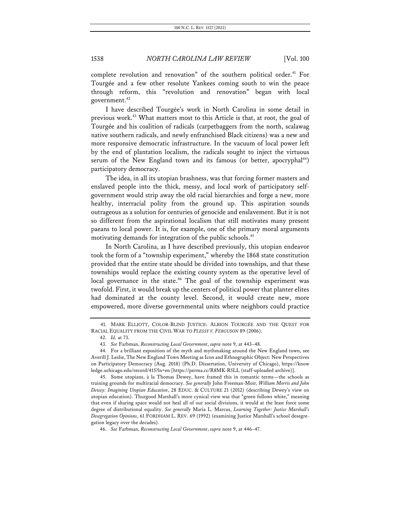complete revolution and renovation" of the southern political order.<sup>41</sup> For Tourgée and a few other resolute Yankees coming south to win the peace through reform, this "revolution and renovation" began with local government.<sup>42</sup>

I have described Tourgée's work in North Carolina in some detail in previous work.43 What matters most to this Article is that, at root, the goal of Tourgée and his coalition of radicals (carpetbaggers from the north, scalawag native southern radicals, and newly enfranchised Black citizens) was a new and more responsive democratic infrastructure. In the vacuum of local power left by the end of plantation localism, the radicals sought to inject the virtuous serum of the New England town and its famous (or better, apocryphal<sup>44</sup>) participatory democracy.

The idea, in all its utopian brashness, was that forcing former masters and enslaved people into the thick, messy, and local work of participatory selfgovernment would strip away the old racial hierarchies and forge a new, more healthy, interracial polity from the ground up. This aspiration sounds outrageous as a solution for centuries of genocide and enslavement. But it is not so different from the aspirational localism that still motivates many present paeans to local power. It is, for example, one of the primary moral arguments motivating demands for integration of the public schools.<sup>45</sup>

In North Carolina, as I have described previously, this utopian endeavor took the form of a "township experiment," whereby the 1868 state constitution provided that the entire state should be divided into townships, and that these townships would replace the existing county system as the operative level of local governance in the state.<sup>46</sup> The goal of the township experiment was twofold. First, it would break up the centers of political power that planter elites had dominated at the county level. Second, it would create new, more empowered, more diverse governmental units where neighbors could practice

<sup>41.</sup> MARK ELLIOTT, COLOR-BLIND JUSTICE: ALBION TOURGÉE AND THE QUEST FOR RACIAL EQUALITY FROM THE CIVIL WAR TO *PLESSY V. FERGUSON* 89 (2006).

<sup>42.</sup> *Id.* at 73.

<sup>43.</sup> *See* Farbman, *Reconstructing Local Government*, *supra* note 9, at 443–48.

<sup>44.</sup> For a brilliant exposition of the myth and mythmaking around the New England town, see Averill J. Leslie, The New England Town Meeting as Icon and Ethnographic Object: New Perspectives on Participatory Democracy (Aug. 2018) (Ph.D. Dissertation, University of Chicago), https://know ledge.uchicago.edu/record/415?ln=en [https://perma.cc/R8MK-R5LL (staff-uploaded archive)].

<sup>45.</sup> Some utopians, à la Thomas Dewey, have framed this in romantic terms—the schools as training grounds for multiracial democracy. *See generally* John Freeman-Moir, *William Morris and John Dewey: Imagining Utopian Education*, 28 EDUC. & CULTURE 21 (2012) (describing Dewey's view on utopian education). Thurgood Marshall's more cynical view was that "green follows white," meaning that even if sharing space would not heal all of our social divisions, it would at the least force some degree of distributional equality. *See generally* Maria L. Marcus, *Learning Together: Justice Marshall's Desegregation Opinions*, 61 FORDHAM L. REV. 69 (1992) (examining Justice Marshall's school desegregation legacy over the decades).

<sup>46.</sup> *See* Farbman, *Reconstructing Local Government*, *supra* note 9, at 446–47.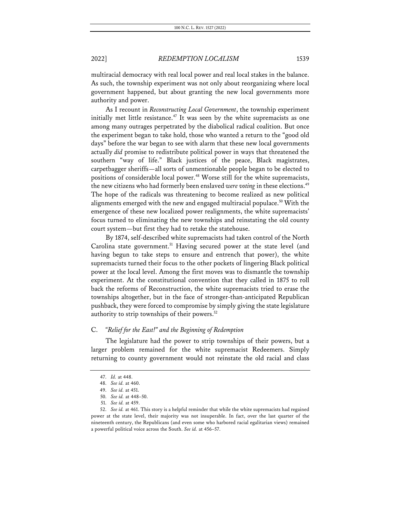multiracial democracy with real local power and real local stakes in the balance. As such, the township experiment was not only about reorganizing where local government happened, but about granting the new local governments more authority and power.

As I recount in *Reconstructing Local Government*, the township experiment initially met little resistance.<sup>47</sup> It was seen by the white supremacists as one among many outrages perpetrated by the diabolical radical coalition. But once the experiment began to take hold, those who wanted a return to the "good old days" before the war began to see with alarm that these new local governments actually *did* promise to redistribute political power in ways that threatened the southern "way of life." Black justices of the peace, Black magistrates, carpetbagger sheriffs—all sorts of unmentionable people began to be elected to positions of considerable local power.<sup>48</sup> Worse still for the white supremacists, the new citizens who had formerly been enslaved *were voting* in these elections.<sup>49</sup> The hope of the radicals was threatening to become realized as new political alignments emerged with the new and engaged multiracial populace.<sup>50</sup> With the emergence of these new localized power realignments, the white supremacists' focus turned to eliminating the new townships and reinstating the old county court system—but first they had to retake the statehouse.

By 1874, self-described white supremacists had taken control of the North Carolina state government.<sup>51</sup> Having secured power at the state level (and having begun to take steps to ensure and entrench that power), the white supremacists turned their focus to the other pockets of lingering Black political power at the local level. Among the first moves was to dismantle the township experiment. At the constitutional convention that they called in 1875 to roll back the reforms of Reconstruction, the white supremacists tried to erase the townships altogether, but in the face of stronger-than-anticipated Republican pushback, they were forced to compromise by simply giving the state legislature authority to strip townships of their powers.<sup>52</sup>

#### C. *"Relief for the East!" and the Beginning of Redemption*

The legislature had the power to strip townships of their powers, but a larger problem remained for the white supremacist Redeemers. Simply returning to county government would not reinstate the old racial and class

<sup>47.</sup> *Id.* at 448.

<sup>48.</sup> *See id.* at 460.

<sup>49.</sup> *See id.* at 451.

<sup>50.</sup> *See id.* at 448–50.

<sup>51.</sup> *See id.* at 459.

<sup>52.</sup> *See id.* at 461. This story is a helpful reminder that while the white supremacists had regained power at the state level, their majority was not insuperable. In fact, over the last quarter of the nineteenth century, the Republicans (and even some who harbored racial egalitarian views) remained a powerful political voice across the South. *See id.* at 456–57.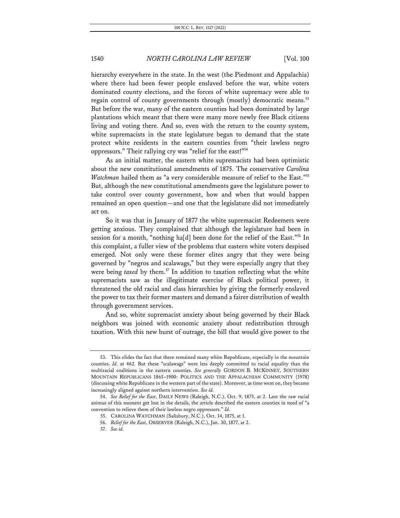hierarchy everywhere in the state. In the west (the Piedmont and Appalachia) where there had been fewer people enslaved before the war, white voters dominated county elections, and the forces of white supremacy were able to regain control of county governments through (mostly) democratic means.<sup>53</sup> But before the war, many of the eastern counties had been dominated by large plantations which meant that there were many more newly free Black citizens living and voting there. And so, even with the return to the county system, white supremacists in the state legislature began to demand that the state protect white residents in the eastern counties from "their lawless negro oppressors." Their rallying cry was "relief for the east!"54

As an initial matter, the eastern white supremacists had been optimistic about the new constitutional amendments of 1875. The conservative *Carolina Watchman* hailed them as "a very considerable measure of relief to the East."<sup>55</sup> But, although the new constitutional amendments gave the legislature power to take control over county government, how and when that would happen remained an open question—and one that the legislature did not immediately act on.

So it was that in January of 1877 the white supremacist Redeemers were getting anxious. They complained that although the legislature had been in session for a month, "nothing ha[d] been done for the relief of the East."56 In this complaint, a fuller view of the problems that eastern white voters despised emerged. Not only were these former elites angry that they were being governed by "negros and scalawags," but they were especially angry that they were being *taxed* by them. <sup>57</sup> In addition to taxation reflecting what the white supremacists saw as the illegitimate exercise of Black political power, it threatened the old racial and class hierarchies by giving the formerly enslaved the power to tax their former masters and demand a fairer distribution of wealth through government services.

And so, white supremacist anxiety about being governed by their Black neighbors was joined with economic anxiety about redistribution through taxation. With this new burst of outrage, the bill that would give power to the

<sup>53.</sup> This elides the fact that there remained many white Republicans, especially in the mountain counties. *Id.* at 462. But these "scalawags" were less deeply committed to racial equality than the multiracial coalitions in the eastern counties. *See generally* GORDON B. MCKINNEY, SOUTHERN MOUNTAIN REPUBLICANS 1865–1900: POLITICS AND THE APPALACHIAN COMMUNITY (1978) (discussing white Republicans in the western part of the state). Moreover, as time went on, they became increasingly aligned against northern intervention. *See id.*

<sup>54.</sup> *See Relief for the East*, DAILY NEWS (Raleigh, N.C.), Oct. 9, 1875, at 2. Lest the raw racial animus of this moment get lost in the details, the article described the eastern counties in need of "a convention to relieve them of their lawless negro oppressors." *Id.*

<sup>55.</sup> CAROLINA WATCHMAN (Salisbury, N.C.), Oct. 14, 1875, at 1.

<sup>56.</sup> *Relief for the East*, OBSERVER (Raleigh, N.C.), Jan. 30, 1877, at 2.

<sup>57.</sup> *See id.*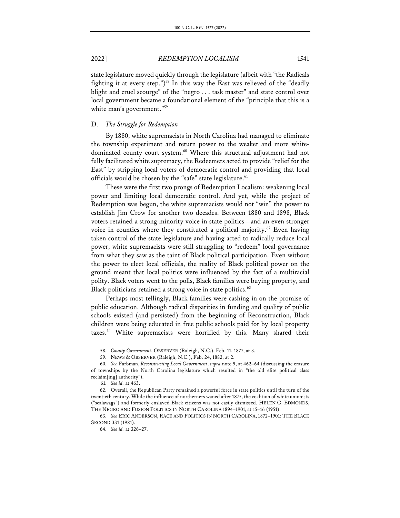state legislature moved quickly through the legislature (albeit with "the Radicals fighting it at every step.")<sup>58</sup> In this way the East was relieved of the "deadly blight and cruel scourge" of the "negro . . . task master" and state control over local government became a foundational element of the "principle that this is a white man's government."<sup>59</sup>

#### D. *The Struggle for Redemption*

By 1880, white supremacists in North Carolina had managed to eliminate the township experiment and return power to the weaker and more whitedominated county court system.<sup>60</sup> Where this structural adjustment had not fully facilitated white supremacy, the Redeemers acted to provide "relief for the East" by stripping local voters of democratic control and providing that local officials would be chosen by the "safe" state legislature.<sup>61</sup>

These were the first two prongs of Redemption Localism: weakening local power and limiting local democratic control. And yet, while the project of Redemption was begun, the white supremacists would not "win" the power to establish Jim Crow for another two decades. Between 1880 and 1898, Black voters retained a strong minority voice in state politics—and an even stronger voice in counties where they constituted a political majority.<sup>62</sup> Even having taken control of the state legislature and having acted to radically reduce local power, white supremacists were still struggling to "redeem" local governance from what they saw as the taint of Black political participation. Even without the power to elect local officials, the reality of Black political power on the ground meant that local politics were influenced by the fact of a multiracial polity. Black voters went to the polls, Black families were buying property, and Black politicians retained a strong voice in state politics.<sup>63</sup>

Perhaps most tellingly, Black families were cashing in on the promise of public education. Although radical disparities in funding and quality of public schools existed (and persisted) from the beginning of Reconstruction, Black children were being educated in free public schools paid for by local property taxes.<sup>64</sup> White supremacists were horrified by this. Many shared their

<sup>58.</sup> *County Government*, OBSERVER (Raleigh, N.C.), Feb. 11, 1877, at 3.

<sup>59.</sup> NEWS & OBSERVER (Raleigh, N.C.), Feb. 24, 1882, at 2.

<sup>60.</sup> *See* Farbman, *Reconstructing Local Government*, *supra* note 9, at 462–64 (discussing the erasure of townships by the North Carolina legislature which resulted in "the old elite political class reclaim[ing] authority").

<sup>61.</sup> *See id.* at 463.

<sup>62.</sup> Overall, the Republican Party remained a powerful force in state politics until the turn of the twentieth century. While the influence of northerners waned after 1875, the coalition of white unionists ("scalawags") and formerly enslaved Black citizens was not easily dismissed. HELEN G. EDMONDS, THE NEGRO AND FUSION POLITICS IN NORTH CAROLINA 1894–1901, at 15–16 (1951).

<sup>63.</sup> *See* ERIC ANDERSON, RACE AND POLITICS IN NORTH CAROLINA, 1872–1901: THE BLACK SECOND 331 (1981).

<sup>64.</sup> *See id.* at 326–27.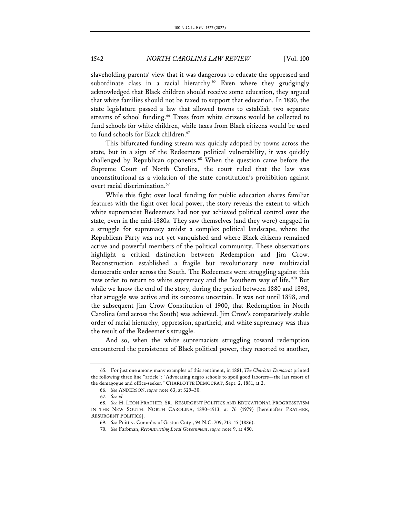slaveholding parents' view that it was dangerous to educate the oppressed and subordinate class in a racial hierarchy.<sup>65</sup> Even where they grudgingly acknowledged that Black children should receive some education, they argued that white families should not be taxed to support that education. In 1880, the state legislature passed a law that allowed towns to establish two separate streams of school funding.<sup>66</sup> Taxes from white citizens would be collected to fund schools for white children, while taxes from Black citizens would be used to fund schools for Black children.<sup>67</sup>

This bifurcated funding stream was quickly adopted by towns across the state, but in a sign of the Redeemers political vulnerability, it was quickly challenged by Republican opponents.<sup>68</sup> When the question came before the Supreme Court of North Carolina, the court ruled that the law was unconstitutional as a violation of the state constitution's prohibition against overt racial discrimination.<sup>69</sup>

While this fight over local funding for public education shares familiar features with the fight over local power, the story reveals the extent to which white supremacist Redeemers had not yet achieved political control over the state, even in the mid-1880s. They saw themselves (and they were) engaged in a struggle for supremacy amidst a complex political landscape, where the Republican Party was not yet vanquished and where Black citizens remained active and powerful members of the political community. These observations highlight a critical distinction between Redemption and Jim Crow. Reconstruction established a fragile but revolutionary new multiracial democratic order across the South. The Redeemers were struggling against this new order to return to white supremacy and the "southern way of life."70 But while we know the end of the story, during the period between 1880 and 1898, that struggle was active and its outcome uncertain. It was not until 1898, and the subsequent Jim Crow Constitution of 1900, that Redemption in North Carolina (and across the South) was achieved. Jim Crow's comparatively stable order of racial hierarchy, oppression, apartheid, and white supremacy was thus the result of the Redeemer's struggle.

And so, when the white supremacists struggling toward redemption encountered the persistence of Black political power, they resorted to another,

<sup>65.</sup> For just one among many examples of this sentiment, in 1881, *The Charlotte Democrat* printed the following three line "article": "Advocating negro schools to spoil good laborers—the last resort of the demagogue and office-seeker." CHARLOTTE DEMOCRAT, Sept. 2, 1881, at 2.

<sup>66.</sup> *See* ANDERSON, *supra* note 63, at 329–30.

<sup>67.</sup> *See id.*

<sup>68.</sup> *See* H. LEON PRATHER, SR., RESURGENT POLITICS AND EDUCATIONAL PROGRESSIVISM IN THE NEW SOUTH: NORTH CAROLINA, 1890–1913, at 76 (1979) [hereinafter PRATHER, RESURGENT POLITICS].

<sup>69.</sup> *See* Puitt v. Comm'rs of Gaston Cnty., 94 N.C. 709, 713–15 (1886).

<sup>70.</sup> *See* Farbman, *Reconstructing Local Government*, *supra* note 9, at 480.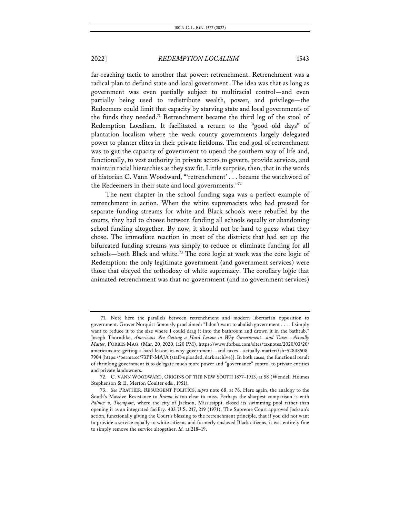far-reaching tactic to smother that power: retrenchment. Retrenchment was a radical plan to defund state and local government. The idea was that as long as government was even partially subject to multiracial control—and even partially being used to redistribute wealth, power, and privilege—the Redeemers could limit that capacity by starving state and local governments of the funds they needed.<sup>71</sup> Retrenchment became the third leg of the stool of Redemption Localism. It facilitated a return to the "good old days" of plantation localism where the weak county governments largely delegated power to planter elites in their private fiefdoms. The end goal of retrenchment was to gut the capacity of government to upend the southern way of life and, functionally, to vest authority in private actors to govern, provide services, and maintain racial hierarchies as they saw fit. Little surprise, then, that in the words of historian C. Vann Woodward, "'retrenchment' . . . became the watchword of the Redeemers in their state and local governments."72

The next chapter in the school funding saga was a perfect example of retrenchment in action. When the white supremacists who had pressed for separate funding streams for white and Black schools were rebuffed by the courts, they had to choose between funding all schools equally or abandoning school funding altogether. By now, it should not be hard to guess what they chose. The immediate reaction in most of the districts that had set up the bifurcated funding streams was simply to reduce or eliminate funding for all schools—both Black and white.<sup>73</sup> The core logic at work was the core logic of Redemption: the only legitimate government (and government services) were those that obeyed the orthodoxy of white supremacy. The corollary logic that animated retrenchment was that no government (and no government services)

<sup>71.</sup> Note here the parallels between retrenchment and modern libertarian opposition to government. Grover Norquist famously proclaimed: "I don't want to abolish government . . . . I simply want to reduce it to the size where I could drag it into the bathroom and drown it in the bathtub." Joseph Thorndike, *Americans Are Getting a Hard Lesson in Why Government—and Taxes—Actually Matter*, FORBES MAG. (Mar. 20, 2020, 1:20 PM), https://www.forbes.com/sites/taxnotes/2020/03/20/ americans-are-getting-a-hard-lesson-in-why-government---and-taxes---actually-matter/?sh=52848508 7904 [https://perma.cc/73PP-MAJA (staff-uploaded, dark archive)]. In both cases, the functional result of shrinking government is to delegate much more power and "governance" control to private entities and private landowners.

<sup>72.</sup> C. VANN WOODWARD, ORIGINS OF THE NEW SOUTH 1877–1913, at 58 (Wendell Holmes Stephenson & E. Merton Coulter eds., 1951).

<sup>73.</sup> *See* PRATHER, RESURGENT POLITICS, *supra* note 68, at 76. Here again, the analogy to the South's Massive Resistance to *Brown* is too clear to miss. Perhaps the sharpest comparison is with *Palmer v. Thompson*, where the city of Jackson, Mississippi, closed its swimming pool rather than opening it as an integrated facility. 403 U.S. 217, 219 (1971). The Supreme Court approved Jackson's action, functionally giving the Court's blessing to the retrenchment principle, that if you did not want to provide a service equally to white citizens and formerly enslaved Black citizens, it was entirely fine to simply remove the service altogether. *Id.* at 218–19.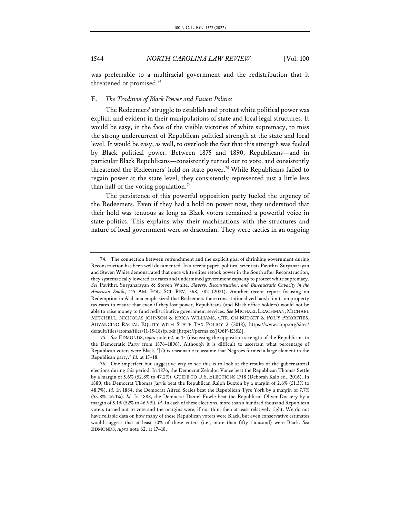was preferrable to a multiracial government and the redistribution that it threatened or promised.<sup>74</sup>

#### E. *The Tradition of Black Power and Fusion Politics*

The Redeemers' struggle to establish and protect white political power was explicit and evident in their manipulations of state and local legal structures. It would be easy, in the face of the visible victories of white supremacy, to miss the strong undercurrent of Republican political strength at the state and local level. It would be easy, as well, to overlook the fact that this strength was fueled by Black political power. Between 1875 and 1890, Republicans—and in particular Black Republicans—consistently turned out to vote, and consistently threatened the Redeemers' hold on state power.<sup>75</sup> While Republicans failed to regain power at the state level, they consistently represented just a little less than half of the voting population.<sup>76</sup>

The persistence of this powerful opposition party fueled the urgency of the Redeemers. Even if they had a hold on power now, they understood that their hold was tenuous as long as Black voters remained a powerful voice in state politics. This explains why their machinations with the structures and nature of local government were so draconian. They were tactics in an ongoing

<sup>74.</sup> The connection between retrenchment and the explicit goal of shrinking government during Reconstruction has been well documented. In a recent paper, political scientists Pavithra Suryanarayan and Steven White demonstrated that once white elites retook power in the South after Reconstruction, they systematically lowered tax rates and undermined government capacity to protect white supremacy. *See* Pavithra Suryanarayan & Steven White, *Slavery, Reconstruction, and Bureaucratic Capacity in the American South*, 115 AM. POL. SCI. REV. 568, 582 (2021). Another recent report focusing on Redemption in Alabama emphasized that Redeemers there constitutionalized harsh limits on property tax rates to ensure that even if they lost power, Republicans (and Black office holders) would not be able to raise money to fund redistributive government services. *See* MICHAEL LEACHMAN, MICHAEL MITCHELL, NICHOLAS JOHNSON & ERICA WILLIAMS, CTR. ON BUDGET & POL'Y PRIORITIES, ADVANCING RACIAL EQUITY WITH STATE TAX POLICY 2 (2018), https://www.cbpp.org/sites/ default/files/atoms/files/11-15-18sfp.pdf [https://perma.cc/JQ6F-E35Z].

<sup>75.</sup> *See* EDMONDS, *supra* note 62, at 15 (discussing the opposition strength of the Republicans to the Democratic Party from 1876–1896). Although it is difficult to ascertain what percentage of Republican voters were Black, "[i]t is reasonable to assume that Negroes formed a large element in the Republican party." *Id.* at 15–18.

<sup>76.</sup> One imperfect but suggestive way to see this is to look at the results of the gubernatorial elections during this period. In 1876, the Democrat Zebulon Vance beat the Republican Thomas Settle by a margin of 5.6% (52.8% to 47.2%). GUIDE TO U.S. ELECTIONS 1718 (Deborah Kalb ed., 2016). In 1880, the Democrat Thomas Jarvis beat the Republican Ralph Buxton by a margin of 2.6% (51.3% to 48.7%). *Id.* In 1884, the Democrat Alfred Scales beat the Republican Tyre York by a margin of 7.7% (53.8%–46.1%). *Id.* In 1888, the Democrat Daniel Fowle beat the Republican Oliver Dockery by a margin of 5.1% (52% to 46.9%). *Id.* In each of these elections, more than a hundred thousand Republican voters turned out to vote and the margins were, if not thin, then at least relatively tight. We do not have reliable data on how many of these Republican voters were Black, but even conservative estimates would suggest that at least 50% of these voters (i.e., more than fifty thousand) were Black. *See* EDMONDS, *supra* note 62, at 17–18.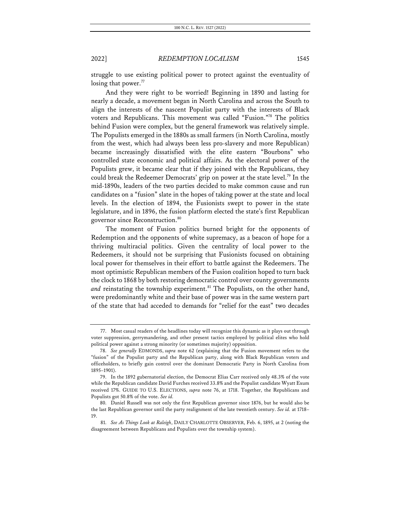struggle to use existing political power to protect against the eventuality of losing that power.<sup>77</sup>

And they were right to be worried! Beginning in 1890 and lasting for nearly a decade, a movement began in North Carolina and across the South to align the interests of the nascent Populist party with the interests of Black voters and Republicans. This movement was called "Fusion."78 The politics behind Fusion were complex, but the general framework was relatively simple. The Populists emerged in the 1880s as small farmers (in North Carolina, mostly from the west, which had always been less pro-slavery and more Republican) became increasingly dissatisfied with the elite eastern "Bourbons" who controlled state economic and political affairs. As the electoral power of the Populists grew, it became clear that if they joined with the Republicans, they could break the Redeemer Democrats' grip on power at the state level.<sup>79</sup> In the mid-1890s, leaders of the two parties decided to make common cause and run candidates on a "fusion" slate in the hopes of taking power at the state and local levels. In the election of 1894, the Fusionists swept to power in the state legislature, and in 1896, the fusion platform elected the state's first Republican governor since Reconstruction.<sup>80</sup>

The moment of Fusion politics burned bright for the opponents of Redemption and the opponents of white supremacy, as a beacon of hope for a thriving multiracial politics. Given the centrality of local power to the Redeemers, it should not be surprising that Fusionists focused on obtaining local power for themselves in their effort to battle against the Redeemers. The most optimistic Republican members of the Fusion coalition hoped to turn back the clock to 1868 by both restoring democratic control over county governments and reinstating the township experiment.<sup>81</sup> The Populists, on the other hand, were predominantly white and their base of power was in the same western part of the state that had acceded to demands for "relief for the east" two decades

<sup>77.</sup> Most casual readers of the headlines today will recognize this dynamic as it plays out through voter suppression, gerrymandering, and other present tactics employed by political elites who hold political power against a strong minority (or sometimes majority) opposition.

<sup>78.</sup> *See generally* EDMONDS, *supra* note 62 (explaining that the Fusion movement refers to the "fusion" of the Populist party and the Republican party, along with Black Republican voters and officeholders, to briefly gain control over the dominant Democratic Party in North Carolina from 1895–1901).

<sup>79.</sup> In the 1892 gubernatorial election, the Democrat Elias Carr received only 48.3% of the vote while the Republican candidate David Furches received 33.8% and the Populist candidate Wyatt Exum received 17%. GUIDE TO U.S. ELECTIONS, *supra* note 76, at 1718. Together, the Republicans and Populists got 50.8% of the vote. *See id.* 

<sup>80.</sup> Daniel Russell was not only the first Republican governor since 1876, but he would also be the last Republican governor until the party realignment of the late twentieth century. *See id.* at 1718– 19.

<sup>81.</sup> *See As Things Look at Raleigh*, DAILY CHARLOTTE OBSERVER, Feb. 6, 1895, at 2 (noting the disagreement between Republicans and Populists over the township system).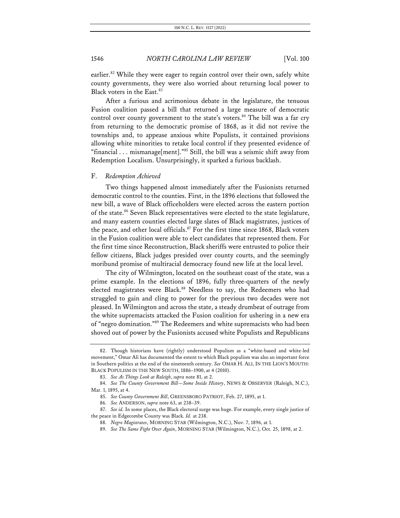earlier.<sup>82</sup> While they were eager to regain control over their own, safely white county governments, they were also worried about returning local power to Black voters in the East.<sup>83</sup>

After a furious and acrimonious debate in the legislature, the tenuous Fusion coalition passed a bill that returned a large measure of democratic control over county government to the state's voters.<sup>84</sup> The bill was a far cry from returning to the democratic promise of 1868, as it did not revive the townships and, to appease anxious white Populists, it contained provisions allowing white minorities to retake local control if they presented evidence of "financial . . . mismanage[ment]."85 Still, the bill was a seismic shift away from Redemption Localism. Unsurprisingly, it sparked a furious backlash.

#### F. *Redemption Achieved*

Two things happened almost immediately after the Fusionists returned democratic control to the counties. First, in the 1896 elections that followed the new bill, a wave of Black officeholders were elected across the eastern portion of the state.<sup>86</sup> Seven Black representatives were elected to the state legislature, and many eastern counties elected large slates of Black magistrates, justices of the peace, and other local officials.<sup>87</sup> For the first time since 1868, Black voters in the Fusion coalition were able to elect candidates that represented them. For the first time since Reconstruction, Black sheriffs were entrusted to police their fellow citizens, Black judges presided over county courts, and the seemingly moribund promise of multiracial democracy found new life at the local level.

The city of Wilmington, located on the southeast coast of the state, was a prime example. In the elections of 1896, fully three-quarters of the newly elected magistrates were Black.<sup>88</sup> Needless to say, the Redeemers who had struggled to gain and cling to power for the previous two decades were not pleased. In Wilmington and across the state, a steady drumbeat of outrage from the white supremacists attacked the Fusion coalition for ushering in a new era of "negro domination."89 The Redeemers and white supremacists who had been shoved out of power by the Fusionists accused white Populists and Republicans

<sup>82.</sup> Though historians have (rightly) understood Populism as a "white-based and white-led movement," Omar Ali has documented the extent to which Black populism was also an important force in Southern politics at the end of the nineteenth century. *See* OMAR H. ALI, IN THE LION'S MOUTH: BLACK POPULISM IN THE NEW SOUTH, 1886–1900, at 4 (2010).

<sup>83.</sup> *See As Things Look at Raleigh*, *supra* note 81, at 2.

<sup>84.</sup> *See The County Government Bill—Some Inside History*, NEWS & OBSERVER (Raleigh, N.C.), Mar. 1, 1895, at 4.

<sup>85.</sup> *See County Government Bill*, GREENSBORO PATRIOT, Feb. 27, 1895, at 1.

<sup>86.</sup> *See* ANDERSON, *supra* note 63, at 238–39.

<sup>87.</sup> *See id.* In some places, the Black electoral surge was huge. For example, every single justice of the peace in Edgecombe County was Black. *Id.* at 238.

<sup>88.</sup> *Negro Magistrates*, MORNING STAR (Wilmington, N.C.), Nov. 7, 1896, at 1.

<sup>89.</sup> *See The Same Fight Over Again*, MORNING STAR (Wilmington, N.C.), Oct. 25, 1898, at 2.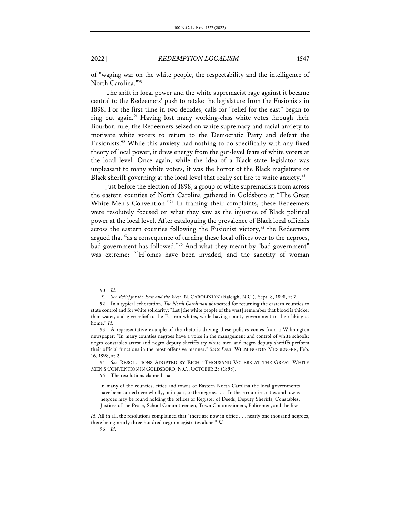of "waging war on the white people, the respectability and the intelligence of North Carolina."90

The shift in local power and the white supremacist rage against it became central to the Redeemers' push to retake the legislature from the Fusionists in 1898. For the first time in two decades, calls for "relief for the east" began to ring out again.<sup>91</sup> Having lost many working-class white votes through their Bourbon rule, the Redeemers seized on white supremacy and racial anxiety to motivate white voters to return to the Democratic Party and defeat the Fusionists.<sup>92</sup> While this anxiety had nothing to do specifically with any fixed theory of local power, it drew energy from the gut-level fears of white voters at the local level. Once again, while the idea of a Black state legislator was unpleasant to many white voters, it was the horror of the Black magistrate or Black sheriff governing at the local level that really set fire to white anxiety.<sup>93</sup>

Just before the election of 1898, a group of white supremacists from across the eastern counties of North Carolina gathered in Goldsboro at "The Great White Men's Convention."94 In framing their complaints, these Redeemers were resolutely focused on what they saw as the injustice of Black political power at the local level. After cataloguing the prevalence of Black local officials across the eastern counties following the Fusionist victory,<sup>95</sup> the Redeemers argued that "as a consequence of turning these local offices over to the negroes, bad government has followed."96 And what they meant by "bad government" was extreme: "[H]omes have been invaded, and the sanctity of woman

94. *See* RESOLUTIONS ADOPTED BY EIGHT THOUSAND VOTERS AT THE GREAT WHITE MEN'S CONVENTION IN GOLDSBORO, N.C., OCTOBER 28 (1898).

95. The resolutions claimed that

<sup>90.</sup> *Id.*

<sup>91.</sup> *See Relief for the East and the West*, N. CAROLINIAN (Raleigh, N.C.), Sept. 8, 1898, at 7.

<sup>92.</sup> In a typical exhortation, *The North Carolinian* advocated for returning the eastern counties to state control and for white solidarity: "Let [the white people of the west] remember that blood is thicker than water, and give relief to the Eastern whites, while having county government to their liking at home." *Id.*

<sup>93.</sup> A representative example of the rhetoric driving these politics comes from a Wilmington newspaper: "In many counties negroes have a voice in the management and control of white schools; negro constables arrest and negro deputy sheriffs try white men and negro deputy sheriffs perform their official functions in the most offensive manner." *State Press*, WILMINGTON MESSENGER, Feb. 16, 1898, at 2.

in many of the counties, cities and towns of Eastern North Carolina the local governments have been turned over wholly, or in part, to the negroes. . . . In these counties, cities and towns negroes may be found holding the offices of Register of Deeds, Deputy Sheriffs, Constables, Justices of the Peace, School Committeemen, Town Commissioners, Policemen, and the like.

*Id.* All in all, the resolutions complained that "there are now in office . . . nearly one thousand negroes, there being nearly three hundred negro magistrates alone." *Id.*

<sup>96.</sup> *Id.*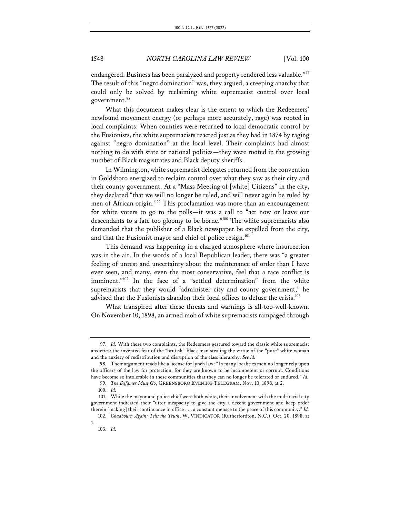endangered. Business has been paralyzed and property rendered less valuable."<sup>97</sup> The result of this "negro domination" was, they argued, a creeping anarchy that could only be solved by reclaiming white supremacist control over local government.<sup>98</sup>

What this document makes clear is the extent to which the Redeemers' newfound movement energy (or perhaps more accurately, rage) was rooted in local complaints. When counties were returned to local democratic control by the Fusionists, the white supremacists reacted just as they had in 1874 by raging against "negro domination" at the local level. Their complaints had almost nothing to do with state or national politics—they were rooted in the growing number of Black magistrates and Black deputy sheriffs.

In Wilmington, white supremacist delegates returned from the convention in Goldsboro energized to reclaim control over what they saw as their city and their county government. At a "Mass Meeting of [white] Citizens" in the city, they declared "that we will no longer be ruled, and will never again be ruled by men of African origin."99 This proclamation was more than an encouragement for white voters to go to the polls—it was a call to "act now or leave our descendants to a fate too gloomy to be borne."100 The white supremacists also demanded that the publisher of a Black newspaper be expelled from the city, and that the Fusionist mayor and chief of police resign.<sup>101</sup>

This demand was happening in a charged atmosphere where insurrection was in the air. In the words of a local Republican leader, there was "a greater feeling of unrest and uncertainty about the maintenance of order than I have ever seen, and many, even the most conservative, feel that a race conflict is imminent."102 In the face of a "settled determination" from the white supremacists that they would "administer city and county government," he advised that the Fusionists abandon their local offices to defuse the crisis.<sup>103</sup>

What transpired after these threats and warnings is all-too-well-known. On November 10, 1898, an armed mob of white supremacists rampaged through

1.

<sup>97.</sup> *Id.* With these two complaints, the Redeemers gestured toward the classic white supremacist anxieties: the invented fear of the "brutish" Black man stealing the virtue of the "pure" white woman and the anxiety of redistribution and disruption of the class hierarchy. *See id.*

<sup>98.</sup> Their argument reads like a license for lynch law: "In many localities men no longer rely upon the officers of the law for protection, for they are known to be incompetent or corrupt. Conditions have become so intolerable in these communities that they can no longer be tolerated or endured." *Id.*

<sup>99.</sup> *The Defamer Must Go*, GREENSBORO EVENING TELEGRAM, Nov. 10, 1898, at 2.

<sup>100.</sup> *Id.*

<sup>101.</sup> While the mayor and police chief were both white, their involvement with the multiracial city government indicated their "utter incapacity to give the city a decent government and keep order therein [making] their continuance in office . . . a constant menace to the peace of this community." *Id.*

<sup>102.</sup> *Chadbourn Again; Tells the Truth*, W. VINDICATOR (Rutherfordton, N.C.), Oct. 20, 1898, at

<sup>103.</sup> *Id.*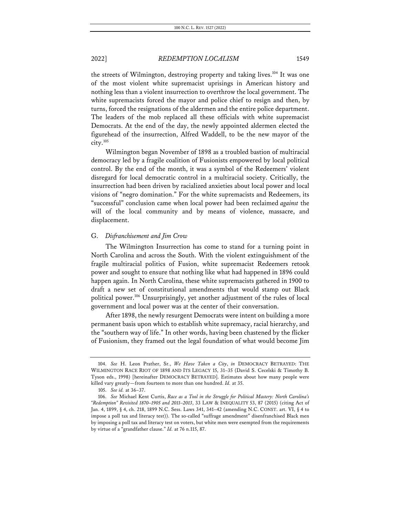the streets of Wilmington, destroying property and taking lives.<sup>104</sup> It was one of the most violent white supremacist uprisings in American history and nothing less than a violent insurrection to overthrow the local government. The white supremacists forced the mayor and police chief to resign and then, by turns, forced the resignations of the aldermen and the entire police department. The leaders of the mob replaced all these officials with white supremacist Democrats. At the end of the day, the newly appointed aldermen elected the figurehead of the insurrection, Alfred Waddell, to be the new mayor of the city.105

Wilmington began November of 1898 as a troubled bastion of multiracial democracy led by a fragile coalition of Fusionists empowered by local political control. By the end of the month, it was a symbol of the Redeemers' violent disregard for local democratic control in a multiracial society. Critically, the insurrection had been driven by racialized anxieties about local power and local visions of "negro domination." For the white supremacists and Redeemers, its "successful" conclusion came when local power had been reclaimed *against* the will of the local community and by means of violence, massacre, and displacement.

#### G. *Disfranchisement and Jim Crow*

The Wilmington Insurrection has come to stand for a turning point in North Carolina and across the South. With the violent extinguishment of the fragile multiracial politics of Fusion, white supremacist Redeemers retook power and sought to ensure that nothing like what had happened in 1896 could happen again. In North Carolina, these white supremacists gathered in 1900 to draft a new set of constitutional amendments that would stamp out Black political power.106 Unsurprisingly, yet another adjustment of the rules of local government and local power was at the center of their conversation.

After 1898, the newly resurgent Democrats were intent on building a more permanent basis upon which to establish white supremacy, racial hierarchy, and the "southern way of life." In other words, having been chastened by the flicker of Fusionism, they framed out the legal foundation of what would become Jim

<sup>104.</sup> *See* H. Leon Prather, Sr., *We Have Taken a City*, *in* DEMOCRACY BETRAYED: THE WILMINGTON RACE RIOT OF 1898 AND ITS LEGACY 15, 31–35 (David S. Cecelski & Timothy B. Tyson eds., 1998) [hereinafter DEMOCRACY BETRAYED]. Estimates about how many people were killed vary greatly—from fourteen to more than one hundred. *Id.* at 35.

<sup>105.</sup> *See id.* at 36–37.

<sup>106.</sup> *See* Michael Kent Curtis, *Race as a Tool in the Struggle for Political Mastery: North Carolina's "Redemption" Revisited 1870–1905 and 2011–2013*, 33 LAW & INEQUALITY 53, 87 (2015) (citing Act of Jan. 4, 1899, § 4, ch. 218, 1899 N.C. Sess. Laws 341, 341–42 (amending N.C. CONST. art. VI, § 4 to impose a poll tax and literacy test)). The so-called "suffrage amendment" disenfranchised Black men by imposing a poll tax and literacy test on voters, but white men were exempted from the requirements by virtue of a "grandfather clause." *Id.* at 76 n.115, 87.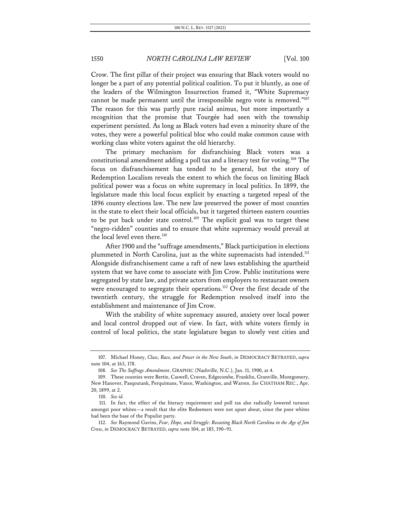Crow. The first pillar of their project was ensuring that Black voters would no longer be a part of any potential political coalition. To put it bluntly, as one of the leaders of the Wilmington Insurrection framed it, "White Supremacy cannot be made permanent until the irresponsible negro vote is removed."<sup>107</sup> The reason for this was partly pure racial animus, but more importantly a recognition that the promise that Tourgée had seen with the township experiment persisted. As long as Black voters had even a minority share of the votes, they were a powerful political bloc who could make common cause with working class white voters against the old hierarchy.

The primary mechanism for disfranchising Black voters was a constitutional amendment adding a poll tax and a literacy test for voting.108 The focus on disfranchisement has tended to be general, but the story of Redemption Localism reveals the extent to which the focus on limiting Black political power was a focus on white supremacy in local politics. In 1899, the legislature made this local focus explicit by enacting a targeted repeal of the 1896 county elections law. The new law preserved the power of most counties in the state to elect their local officials, but it targeted thirteen eastern counties to be put back under state control.<sup>109</sup> The explicit goal was to target these "negro-ridden" counties and to ensure that white supremacy would prevail at the local level even there.<sup>110</sup>

After 1900 and the "suffrage amendments," Black participation in elections plummeted in North Carolina, just as the white supremacists had intended.<sup>111</sup> Alongside disfranchisement came a raft of new laws establishing the apartheid system that we have come to associate with Jim Crow. Public institutions were segregated by state law, and private actors from employers to restaurant owners were encouraged to segregate their operations.<sup>112</sup> Over the first decade of the twentieth century, the struggle for Redemption resolved itself into the establishment and maintenance of Jim Crow.

With the stability of white supremacy assured, anxiety over local power and local control dropped out of view. In fact, with white voters firmly in control of local politics, the state legislature began to slowly vest cities and

<sup>107.</sup> Michael Honey, *Class, Race, and Power in the New South*, *in* DEMOCRACY BETRAYED, *supra*  note 104, at 163, 178.

<sup>108.</sup> *See The Suffrage Amendment*, GRAPHIC (Nashville, N.C.), Jan. 11, 1900, at 4.

<sup>109.</sup> These counties were Bertie, Caswell, Craven, Edgecombe, Franklin, Granville, Montgomery, New Hanover, Pasqoutank, Perquimans, Vance, Washington, and Warren. *See* CHATHAM REC., Apr. 20, 1899, at 2.

<sup>110.</sup> *See id.*

<sup>111.</sup> In fact, the effect of the literacy requirement and poll tax also radically lowered turnout amongst poor whites—a result that the elite Redeemers were not upset about, since the poor whites had been the base of the Populist party.

<sup>112.</sup> *See* Raymond Gavins, *Fear, Hope, and Struggle: Recasting Black North Carolina in the Age of Jim Crow*, *in* DEMOCRACY BETRAYED, *supra* note 104, at 185, 190–91.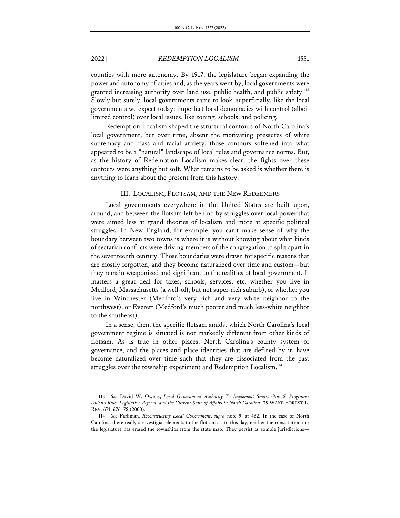counties with more autonomy. By 1917, the legislature began expanding the power and autonomy of cities and, as the years went by, local governments were granted increasing authority over land use, public health, and public safety.<sup>113</sup> Slowly but surely, local governments came to look, superficially, like the local governments we expect today: imperfect local democracies with control (albeit limited control) over local issues, like zoning, schools, and policing.

Redemption Localism shaped the structural contours of North Carolina's local government, but over time, absent the motivating pressures of white supremacy and class and racial anxiety, those contours softened into what appeared to be a "natural" landscape of local rules and governance norms. But, as the history of Redemption Localism makes clear, the fights over these contours were anything but soft. What remains to be asked is whether there is anything to learn about the present from this history.

#### III. LOCALISM, FLOTSAM, AND THE NEW REDEEMERS

Local governments everywhere in the United States are built upon, around, and between the flotsam left behind by struggles over local power that were aimed less at grand theories of localism and more at specific political struggles. In New England, for example, you can't make sense of why the boundary between two towns is where it is without knowing about what kinds of sectarian conflicts were driving members of the congregation to split apart in the seventeenth century. Those boundaries were drawn for specific reasons that are mostly forgotten, and they become naturalized over time and custom—but they remain weaponized and significant to the realities of local government. It matters a great deal for taxes, schools, services, etc. whether you live in Medford, Massachusetts (a well-off, but not super-rich suburb), or whether you live in Winchester (Medford's very rich and very white neighbor to the northwest), or Everett (Medford's much poorer and much less-white neighbor to the southeast).

In a sense, then, the specific flotsam amidst which North Carolina's local government regime is situated is not markedly different from other kinds of flotsam. As is true in other places, North Carolina's county system of governance, and the places and place identities that are defined by it, have become naturalized over time such that they are dissociated from the past struggles over the township experiment and Redemption Localism.<sup>114</sup>

<sup>113.</sup> *See* David W. Owens, *Local Government Authority To Implement Smart Growth Programs: Dillon's Rule, Legislative Reform, and the Current State of Affairs in North Carolina*, 35 WAKE FOREST L. REV. 671, 676–78 (2000).

<sup>114.</sup> *See* Farbman, *Reconstructing Local Government*, *supra* note 9, at 462. In the case of North Carolina, there really are vestigial elements to the flotsam as, to this day, neither the constitution nor the legislature has erased the townships from the state map. They persist as zombie jurisdictions—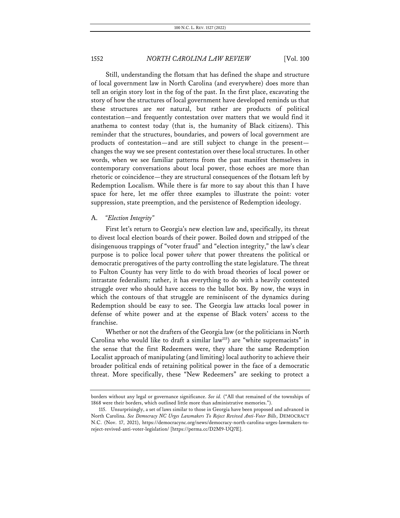Still, understanding the flotsam that has defined the shape and structure of local government law in North Carolina (and everywhere) does more than tell an origin story lost in the fog of the past. In the first place, excavating the story of how the structures of local government have developed reminds us that these structures are *not* natural, but rather are products of political contestation—and frequently contestation over matters that we would find it anathema to contest today (that is, the humanity of Black citizens). This reminder that the structures, boundaries, and powers of local government are products of contestation—and are still subject to change in the present changes the way we see present contestation over these local structures. In other words, when we see familiar patterns from the past manifest themselves in contemporary conversations about local power, those echoes are more than rhetoric or coincidence—they are structural consequences of the flotsam left by Redemption Localism. While there is far more to say about this than I have space for here, let me offer three examples to illustrate the point: voter suppression, state preemption, and the persistence of Redemption ideology.

#### A. *"Election Integrity"*

First let's return to Georgia's new election law and, specifically, its threat to divest local election boards of their power. Boiled down and stripped of the disingenuous trappings of "voter fraud" and "election integrity," the law's clear purpose is to police local power *where* that power threatens the political or democratic prerogatives of the party controlling the state legislature. The threat to Fulton County has very little to do with broad theories of local power or intrastate federalism; rather, it has everything to do with a heavily contested struggle over who should have access to the ballot box. By now, the ways in which the contours of that struggle are reminiscent of the dynamics during Redemption should be easy to see. The Georgia law attacks local power in defense of white power and at the expense of Black voters' access to the franchise.

Whether or not the drafters of the Georgia law (or the politicians in North Carolina who would like to draft a similar law<sup>115</sup>) are "white supremacists" in the sense that the first Redeemers were, they share the same Redemption Localist approach of manipulating (and limiting) local authority to achieve their broader political ends of retaining political power in the face of a democratic threat. More specifically, these "New Redeemers" are seeking to protect a

borders without any legal or governance significance. *See id.* ("All that remained of the townships of 1868 were their borders, which outlined little more than administrative memories.").

<sup>115.</sup> Unsurprisingly, a set of laws similar to those in Georgia have been proposed and advanced in North Carolina. *See Democracy NC Urges Lawmakers To Reject Revived Anti-Voter Bills*, DEMOCRACY N.C. (Nov. 17, 2021), https://democracync.org/news/democracy-north-carolina-urges-lawmakers-toreject-revived-anti-voter-legislation/ [https://perma.cc/D2M9-UQ7E].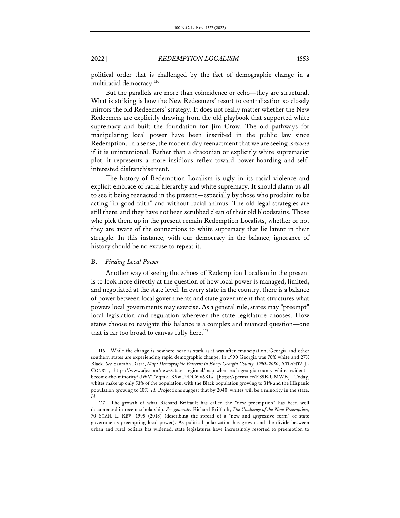political order that is challenged by the fact of demographic change in a multiracial democracy.<sup>116</sup>

But the parallels are more than coincidence or echo—they are structural. What is striking is how the New Redeemers' resort to centralization so closely mirrors the old Redeemers' strategy. It does not really matter whether the New Redeemers are explicitly drawing from the old playbook that supported white supremacy and built the foundation for Jim Crow. The old pathways for manipulating local power have been inscribed in the public law since Redemption. In a sense, the modern-day reenactment that we are seeing is *worse* if it is unintentional. Rather than a draconian or explicitly white supremacist plot, it represents a more insidious reflex toward power-hoarding and selfinterested disfranchisement.

The history of Redemption Localism is ugly in its racial violence and explicit embrace of racial hierarchy and white supremacy. It should alarm us all to see it being reenacted in the present—especially by those who proclaim to be acting "in good faith" and without racial animus. The old legal strategies are still there, and they have not been scrubbed clean of their old bloodstains. Those who pick them up in the present remain Redemption Localists, whether or not they are aware of the connections to white supremacy that lie latent in their struggle. In this instance, with our democracy in the balance, ignorance of history should be no excuse to repeat it.

#### B. *Finding Local Power*

Another way of seeing the echoes of Redemption Localism in the present is to look more directly at the question of how local power is managed, limited, and negotiated at the state level. In every state in the country, there is a balance of power between local governments and state government that structures what powers local governments may exercise. As a general rule, states may "preempt" local legislation and regulation wherever the state legislature chooses. How states choose to navigate this balance is a complex and nuanced question—one that is far too broad to canvas fully here.<sup>117</sup>

<sup>116.</sup> While the change is nowhere near as stark as it was after emancipation, Georgia and other southern states are experiencing rapid demographic change. In 1990 Georgia was 70% white and 27% Black. *See* Saurabh Datar, *Map: Demographic Patterns in Every Georgia County, 1990–2050*, ATLANTA J.- CONST., https://www.ajc.com/news/state--regional/map-when-each-georgia-county-white-residentsbecome-the-minority/UWVTVqmkLK9wU9DC6jv6KL/ [https://perma.cc/E85E-UMWE]. Today, whites make up only 53% of the population, with the Black population growing to 31% and the Hispanic population growing to 10%. *Id.* Projections suggest that by 2040, whites will be a minority in the state. *Id.*

<sup>117.</sup> The growth of what Richard Briffault has called the "new preemption" has been well documented in recent scholarship. *See generally* Richard Briffault, *The Challenge of the New Preemption*, 70 STAN. L. REV. 1995 (2018) (describing the spread of a "new and aggressive form" of state governments preempting local power). As political polarization has grown and the divide between urban and rural politics has widened, state legislatures have increasingly resorted to preemption to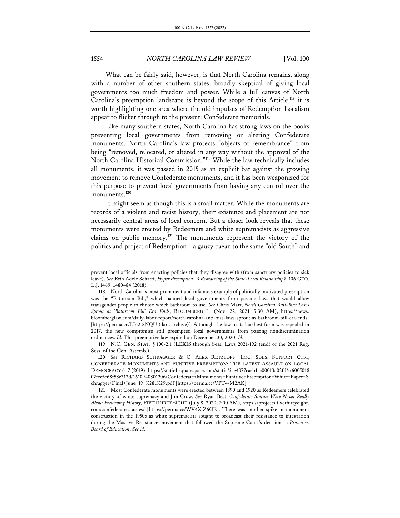What can be fairly said, however, is that North Carolina remains, along with a number of other southern states, broadly skeptical of giving local governments too much freedom and power. While a full canvas of North Carolina's preemption landscape is beyond the scope of this Article,<sup>118</sup> it is worth highlighting one area where the old impulses of Redemption Localism appear to flicker through to the present: Confederate memorials.

Like many southern states, North Carolina has strong laws on the books preventing local governments from removing or altering Confederate monuments. North Carolina's law protects "objects of remembrance" from being "removed, relocated, or altered in any way without the approval of the North Carolina Historical Commission."119 While the law technically includes all monuments, it was passed in 2015 as an explicit bar against the growing movement to remove Confederate monuments, and it has been weaponized for this purpose to prevent local governments from having any control over the monuments.<sup>120</sup>

It might seem as though this is a small matter. While the monuments are records of a violent and racist history, their existence and placement are not necessarily central areas of local concern. But a closer look reveals that these monuments were erected by Redeemers and white supremacists as aggressive claims on public memory.<sup>121</sup> The monuments represent the victory of the politics and project of Redemption—a gauzy paean to the same "old South" and

prevent local officials from enacting policies that they disagree with (from sanctuary policies to sick leave). *See* Erin Adele Scharff, *Hyper Preemption: A Reordering of the State-Local Relationship?*, 106 GEO. L.J. 1469, 1480–84 (2018).

<sup>118.</sup> North Carolina's most prominent and infamous example of politically motivated preemption was the "Bathroom Bill," which banned local governments from passing laws that would allow transgender people to choose which bathroom to use. *See* Chris Marr, *North Carolina Anti-Bias Laws Sprout as 'Bathroom Bill' Era Ends*, BLOOMBERG L. (Nov. 22, 2021, 5:30 AM), https://news. bloomberglaw.com/daily-labor-report/north-carolina-anti-bias-laws-sprout-as-bathroom-bill-era-ends [https://perma.cc/LJ62-8NQU (dark archive)]. Although the law in its harshest form was repealed in 2017, the new compromise still preempted local governments from passing nondiscrimination ordinances. *Id.* This preemptive law expired on December 30, 2020. *Id.*

<sup>119.</sup> N.C. GEN. STAT. § 100-2.1 (LEXIS through Sess. Laws 2021-192 (end) of the 2021 Reg. Sess. of the Gen. Assemb.).

<sup>120.</sup> *See* RICHARD SCHRAGGER & C. ALEX RETZLOFF, LOC. SOLS. SUPPORT CTR., CONFEDERATE MONUMENTS AND PUNITIVE PREEMPTION: THE LATEST ASSAULT ON LOCAL DEMOCRACY 6–7 (2019), https://static1.squarespace.com/static/5ce4377caeb1ce00013a02fd/t/6005018 07fec5e68f58c312d/1610940801206/Confederate+Monuments+Punitive+Preemption+White+Paper+S chragger+Final+June+19+%281%29.pdf [https://perma.cc/VPT4-M2AK].

<sup>121.</sup> Most Confederate monuments were erected between 1890 and 1920 as Redeemers celebrated the victory of white supremacy and Jim Crow. *See* Ryan Best, *Confederate Statues Were Never Really About Preserving History*, FIVETHIRTYEIGHT (July 8, 2020, 7:00 AM), https://projects.fivethirtyeight. com/confederate-statues/ [https://perma.cc/WV4X-Z6GE]. There was another spike in monument construction in the 1950s as white supremacists sought to broadcast their resistance to integration during the Massive Resistance movement that followed the Supreme Court's decision in *Brown v. Board of Education*. *See id.*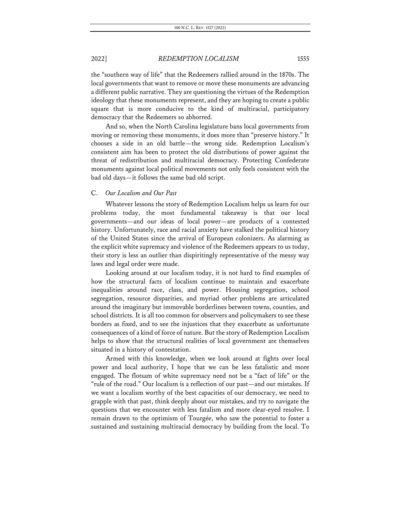the "southern way of life" that the Redeemers rallied around in the 1870s. The local governments that want to remove or move these monuments are advancing a different public narrative. They are questioning the virtues of the Redemption ideology that these monuments represent, and they are hoping to create a public square that is more conducive to the kind of multiracial, participatory democracy that the Redeemers so abhorred.

And so, when the North Carolina legislature bans local governments from moving or removing these monuments, it does more than "preserve history." It chooses a side in an old battle—the wrong side. Redemption Localism's consistent aim has been to protect the old distributions of power against the threat of redistribution and multiracial democracy. Protecting Confederate monuments against local political movements not only feels consistent with the bad old days—it follows the same bad old script.

#### C. *Our Localism and Our Past*

Whatever lessons the story of Redemption Localism helps us learn for our problems today, the most fundamental takeaway is that our local governments—and our ideas of local power—are products of a contested history. Unfortunately, race and racial anxiety have stalked the political history of the United States since the arrival of European colonizers. As alarming as the explicit white supremacy and violence of the Redeemers appears to us today, their story is less an outlier than dispiritingly representative of the messy way laws and legal order were made.

Looking around at our localism today, it is not hard to find examples of how the structural facts of localism continue to maintain and exacerbate inequalities around race, class, and power. Housing segregation, school segregation, resource disparities, and myriad other problems are articulated around the imaginary but immovable borderlines between towns, counties, and school districts. It is all too common for observers and policymakers to see these borders as fixed, and to see the injustices that they exacerbate as unfortunate consequences of a kind of force of nature. But the story of Redemption Localism helps to show that the structural realities of local government are themselves situated in a history of contestation.

Armed with this knowledge, when we look around at fights over local power and local authority, I hope that we can be less fatalistic and more engaged. The flotsam of white supremacy need not be a "fact of life" or the "rule of the road." Our localism is a reflection of our past—and our mistakes. If we want a localism worthy of the best capacities of our democracy, we need to grapple with that past, think deeply about our mistakes, and try to navigate the questions that we encounter with less fatalism and more clear-eyed resolve. I remain drawn to the optimism of Tourgée, who saw the potential to foster a sustained and sustaining multiracial democracy by building from the local. To